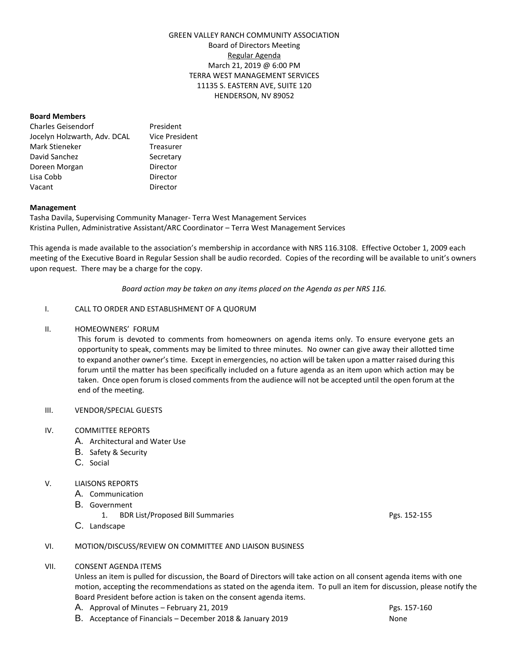# GREEN VALLEY RANCH COMMUNITY ASSOCIATION Board of Directors Meeting Regular Agenda March 21, 2019 @ 6:00 PM TERRA WEST MANAGEMENT SERVICES 11135 S. EASTERN AVE, SUITE 120 HENDERSON, NV 89052

### **Board Members**

| <b>Charles Geisendorf</b>    | President             |
|------------------------------|-----------------------|
| Jocelyn Holzwarth, Adv. DCAL | <b>Vice President</b> |
| Mark Stieneker               | Treasurer             |
| David Sanchez                | Secretary             |
| Doreen Morgan                | Director              |
| Lisa Cobb                    | Director              |
| Vacant                       | Director              |

## **Management**

Tasha Davila, Supervising Community Manager- Terra West Management Services Kristina Pullen, Administrative Assistant/ARC Coordinator – Terra West Management Services

This agenda is made available to the association's membership in accordance with NRS 116.3108. Effective October 1, 2009 each meeting of the Executive Board in Regular Session shall be audio recorded. Copies of the recording will be available to unit's owners upon request. There may be a charge for the copy.

*Board action may be taken on any items placed on the Agenda as per NRS 116.*

## I. CALL TO ORDER AND ESTABLISHMENT OF A QUORUM

## II. HOMEOWNERS' FORUM

This forum is devoted to comments from homeowners on agenda items only. To ensure everyone gets an opportunity to speak, comments may be limited to three minutes. No owner can give away their allotted time to expand another owner's time. Except in emergencies, no action will be taken upon a matter raised during this forum until the matter has been specifically included on a future agenda as an item upon which action may be taken. Once open forum is closed comments from the audience will not be accepted until the open forum at the end of the meeting.

### III. VENDOR/SPECIAL GUESTS

#### IV. COMMITTEE REPORTS

- A. Architectural and Water Use
- B. Safety & Security
- C. Social

# V. LIAISONS REPORTS

- A. Communication
- B. Government
	- 1. BDR List/Proposed Bill Summaries **Pgs. 152-155** Pgs. 152-155
- C. Landscape

#### VI. MOTION/DISCUSS/REVIEW ON COMMITTEE AND LIAISON BUSINESS

## VII. CONSENT AGENDA ITEMS

Unless an item is pulled for discussion, the Board of Directors will take action on all consent agenda items with one motion, accepting the recommendations as stated on the agenda item. To pull an item for discussion, please notify the Board President before action is taken on the consent agenda items.

- A. Approval of Minutes February 21, 2019 Pgs. 157-160 Pgs. 157-160
- B. Acceptance of Financials December 2018 & January 2019 None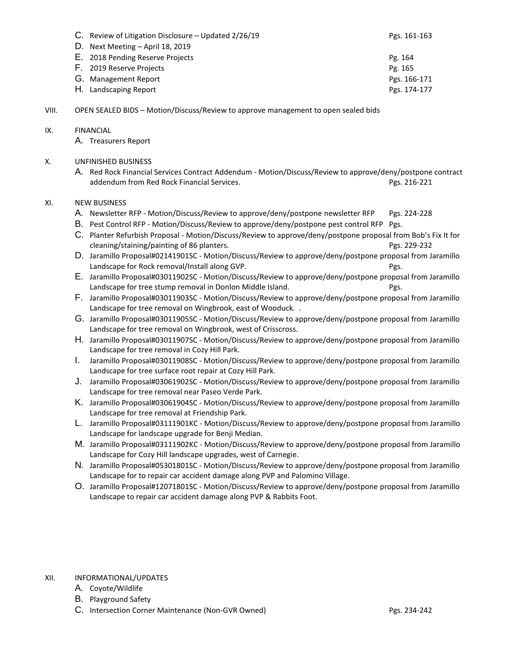| C. Review of Litigation Disclosure – Opdated 2/26/19 | <b>PRS. 101-103</b> |
|------------------------------------------------------|---------------------|
| D. Next Meeting – April 18, 2019                     |                     |
| E. 2018 Pending Reserve Projects                     | Pg. 164             |
| F. 2019 Reserve Projects                             | Pg. 165             |
| G. Management Report                                 | Pgs. 166-171        |
| H. Landscaping Report                                | Pgs. 174-177        |

 $P_{\text{C}}$  C. Review of Litigation Disclosure – Updated 2/26/19 Pgs. 161-163-164-163

VIII. OPEN SEALED BIDS – Motion/Discuss/Review to approve management to open sealed bids

## IX. FINANCIAL

- A. Treasurers Report
- X. UNFINISHED BUSINESS
	- A. Red Rock Financial Services Contract Addendum Motion/Discuss/Review to approve/deny/postpone contract addendum from Red Rock Financial Services. **Pgs. 216-221** Pgs. 216-221

## XI. NEW BUSINESS

- A. Newsletter RFP Motion/Discuss/Review to approve/deny/postpone newsletter RFP Pgs. 224-228
- B. Pest Control RFP Motion/Discuss/Review to approve/deny/postpone pest control RFP Pgs.
- C. Planter Refurbish Proposal Motion/Discuss/Review to approve/deny/postpone proposal from Bob's Fix It for cleaning/staining/painting of 86 planters. Pgs. 229-232
- D. Jaramillo Proposal#02141901SC Motion/Discuss/Review to approve/deny/postpone proposal from Jaramillo Landscape for Rock removal/Install along GVP. The example of the example of the Pgs.
- E. Jaramillo Proposal#03011902SC Motion/Discuss/Review to approve/deny/postpone proposal from Jaramillo Landscape for tree stump removal in Donlon Middle Island. The example of the Pgs.
- F. Jaramillo Proposal#03011903SC Motion/Discuss/Review to approve/deny/postpone proposal from Jaramillo Landscape for tree removal on Wingbrook, east of Wooduck. .
- G. Jaramillo Proposal#03011905SC Motion/Discuss/Review to approve/deny/postpone proposal from Jaramillo Landscape for tree removal on Wingbrook, west of Crisscross.
- H. Jaramillo Proposal#03011907SC Motion/Discuss/Review to approve/deny/postpone proposal from Jaramillo Landscape for tree removal in Cozy Hill Park.
- I. Jaramillo Proposal#03011908SC Motion/Discuss/Review to approve/deny/postpone proposal from Jaramillo Landscape for tree surface root repair at Cozy Hill Park.
- J. Jaramillo Proposal#03061902SC Motion/Discuss/Review to approve/deny/postpone proposal from Jaramillo Landscape for tree removal near Paseo Verde Park.
- K. Jaramillo Proposal#03061904SC Motion/Discuss/Review to approve/deny/postpone proposal from Jaramillo Landscape for tree removal at Friendship Park.
- L. Jaramillo Proposal#03111901KC Motion/Discuss/Review to approve/deny/postpone proposal from Jaramillo Landscape for landscape upgrade for Benji Median.
- M. Jaramillo Proposal#03111902KC Motion/Discuss/Review to approve/deny/postpone proposal from Jaramillo Landscape for Cozy Hill landscape upgrades, west of Carnegie.
- N. Jaramillo Proposal#05301801SC Motion/Discuss/Review to approve/deny/postpone proposal from Jaramillo Landscape for to repair car accident damage along PVP and Palomino Village.
- O. Jaramillo Proposal#12071801SC Motion/Discuss/Review to approve/deny/postpone proposal from Jaramillo Landscape to repair car accident damage along PVP & Rabbits Foot.

# XII. INFORMATIONAL/UPDATES

- A. Coyote/Wildlife
- B. Playground Safety
- C. Intersection Corner Maintenance (Non-GVR Owned) Pgs. 234-242 Pgs. 234-242